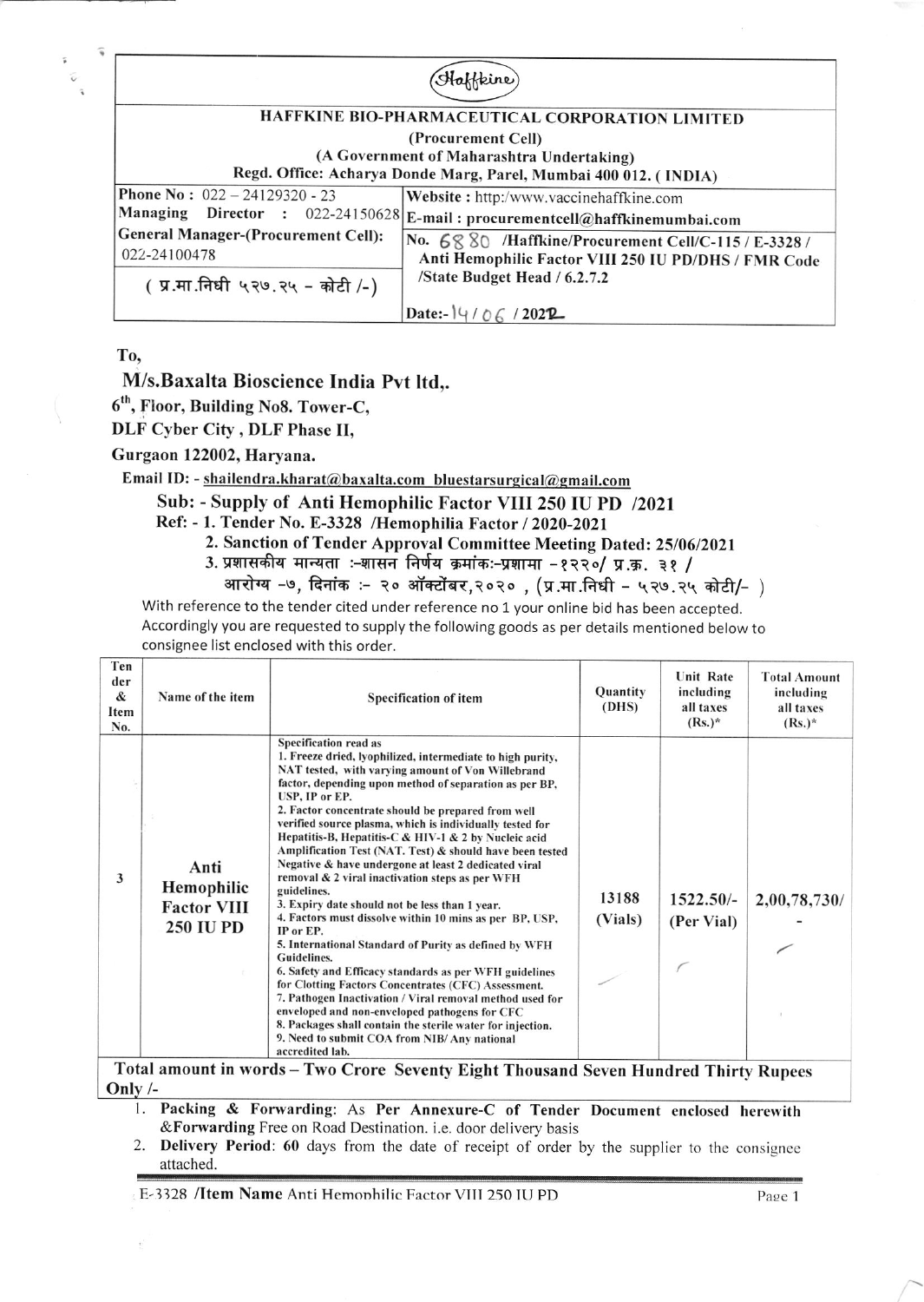| HAFFKINE BIO-PHARMACEUTICAL CORPORATION LIMITED                  |                                                      |  |  |  |  |  |
|------------------------------------------------------------------|------------------------------------------------------|--|--|--|--|--|
| (Procurement Cell)                                               |                                                      |  |  |  |  |  |
| (A Government of Maharashtra Undertaking)                        |                                                      |  |  |  |  |  |
| Regd. Office: Acharya Donde Marg, Parel, Mumbai 400 012. (INDIA) |                                                      |  |  |  |  |  |
| <b>Phone No: <math>022 - 24129320 - 23</math></b>                | Website: http:/www.vaccinehaffkine.com               |  |  |  |  |  |
| Managing<br>Director : 022-24150628                              | E-mail: procurementcell@haffkinemumbai.com           |  |  |  |  |  |
| <b>General Manager-(Procurement Cell):</b>                       | No. 6880 /Haffkine/Procurement Cell/C-115 / E-3328 / |  |  |  |  |  |
| 022-24100478                                                     | Anti Hemophilic Factor VIII 250 IU PD/DHS / FMR Code |  |  |  |  |  |
| (प्र.मा.निधी ५२७.२५ - कोटी /-)                                   | /State Budget Head / 6.2.7.2                         |  |  |  |  |  |
|                                                                  | Date:- $14/06/2022$                                  |  |  |  |  |  |

To.

## M/s.Baxalta Bioscience India Pvt ltd,.

6<sup>th</sup>, Floor, Building No8. Tower-C.

DLF Cyber City, DLF Phase II,

Gurgaon 122002, Harvana.

Email ID: - shailendra.kharat@baxalta.com bluestarsurgical@gmail.com

## Sub: - Supply of Anti Hemophilic Factor VIII 250 IU PD /2021

- Ref: 1. Tender No. E-3328 /Hemophilia Factor / 2020-2021
	- 2. Sanction of Tender Approval Committee Meeting Dated: 25/06/2021
	- 3. प्रशासकीय मान्यता :-शासन निर्णय क्रमांकः-प्रशामा -१२२०/ प्र.क्र. ३१ /
	- आरोग्य -७, दिनांक :- २० ऑक्टोंबर,२०२० , (प्र.मा.निधी ५२७.२५ कोटी/- )

With reference to the tender cited under reference no 1 your online bid has been accepted. Accordingly you are requested to supply the following goods as per details mentioned below to consignee list enclosed with this order.

| Ten<br>der<br>&<br>Item<br>No. | Name of the item                                             | <b>Specification of item</b>                                                                                                                                                                                                                                                                                                                                                                                                                                                                                                                                                                                                                                                                                                                                                                                                                                                                                                                                                                                                                                                                                                                                 | Quantity<br>(DHS) | <b>Unit Rate</b><br>including<br>all taxes<br>$(Rs.)^*$ | <b>Total Amount</b><br>including<br>all taxes<br>$(Rs.)^*$ |
|--------------------------------|--------------------------------------------------------------|--------------------------------------------------------------------------------------------------------------------------------------------------------------------------------------------------------------------------------------------------------------------------------------------------------------------------------------------------------------------------------------------------------------------------------------------------------------------------------------------------------------------------------------------------------------------------------------------------------------------------------------------------------------------------------------------------------------------------------------------------------------------------------------------------------------------------------------------------------------------------------------------------------------------------------------------------------------------------------------------------------------------------------------------------------------------------------------------------------------------------------------------------------------|-------------------|---------------------------------------------------------|------------------------------------------------------------|
| 3                              | Anti<br>Hemophilic<br><b>Factor VIII</b><br><b>250 IU PD</b> | Specification read as<br>1. Freeze dried, lyophilized, intermediate to high purity,<br>NAT tested, with varying amount of Von Willebrand<br>factor, depending upon method of separation as per BP,<br>USP, IP or EP.<br>2. Factor concentrate should be prepared from well<br>verified source plasma, which is individually tested for<br>Hepatitis-B, Hepatitis-C & HIV-1 & 2 by Nucleic acid<br>Amplification Test (NAT. Test) & should have been tested<br>Negative & have undergone at least 2 dedicated viral<br>removal & 2 viral inactivation steps as per WFH<br>guidelines.<br>3. Expiry date should not be less than 1 year.<br>4. Factors must dissolve within 10 mins as per BP, USP,<br>IP or EP.<br>5. International Standard of Purity as defined by WFH<br><b>Guidelines.</b><br>6. Safety and Efficacy standards as per WFH guidelines<br>for Clotting Factors Concentrates (CFC) Assessment.<br>7. Pathogen Inactivation / Viral removal method used for<br>enveloped and non-enveloped pathogens for CFC<br>8. Packages shall contain the sterile water for injection.<br>9. Need to submit COA from NIB/ Any national<br>accredited lab. | 13188<br>(Vials)  | 1522.50/-<br>(Per Vial)                                 | 2,00,78,730/                                               |

Total amount in words - Two Crore Seventy Eight Thousand Seven Hundred Thirty Rupees Only  $/-$ 

- 1. Packing & Forwarding: As Per Annexure-C of Tender Document enclosed herewith & Forwarding Free on Road Destination. i.e. door delivery basis
- Delivery Period: 60 days from the date of receipt of order by the supplier to the consignee 2. attached.

E-3328 /Item Name Anti Hemophilic Factor VIII 250 IU PD